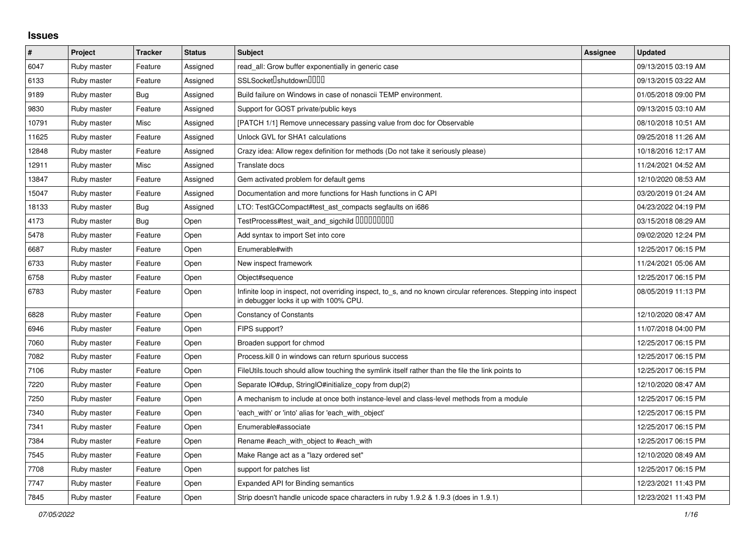## **Issues**

| #     | Project     | <b>Tracker</b> | <b>Status</b> | <b>Subject</b>                                                                                                                                            | Assignee | <b>Updated</b>      |
|-------|-------------|----------------|---------------|-----------------------------------------------------------------------------------------------------------------------------------------------------------|----------|---------------------|
| 6047  | Ruby master | Feature        | Assigned      | read all: Grow buffer exponentially in generic case                                                                                                       |          | 09/13/2015 03:19 AM |
| 6133  | Ruby master | Feature        | Assigned      | SSLSocket <sup>[]</sup> shutdown <sup>[][][]</sup>                                                                                                        |          | 09/13/2015 03:22 AM |
| 9189  | Ruby master | Bug            | Assigned      | Build failure on Windows in case of nonascii TEMP environment.                                                                                            |          | 01/05/2018 09:00 PM |
| 9830  | Ruby master | Feature        | Assigned      | Support for GOST private/public keys                                                                                                                      |          | 09/13/2015 03:10 AM |
| 10791 | Ruby master | Misc           | Assigned      | [PATCH 1/1] Remove unnecessary passing value from doc for Observable                                                                                      |          | 08/10/2018 10:51 AM |
| 11625 | Ruby master | Feature        | Assigned      | Unlock GVL for SHA1 calculations                                                                                                                          |          | 09/25/2018 11:26 AM |
| 12848 | Ruby master | Feature        | Assigned      | Crazy idea: Allow regex definition for methods (Do not take it seriously please)                                                                          |          | 10/18/2016 12:17 AM |
| 12911 | Ruby master | Misc           | Assigned      | Translate docs                                                                                                                                            |          | 11/24/2021 04:52 AM |
| 13847 | Ruby master | Feature        | Assigned      | Gem activated problem for default gems                                                                                                                    |          | 12/10/2020 08:53 AM |
| 15047 | Ruby master | Feature        | Assigned      | Documentation and more functions for Hash functions in C API                                                                                              |          | 03/20/2019 01:24 AM |
| 18133 | Ruby master | Bug            | Assigned      | LTO: TestGCCompact#test_ast_compacts segfaults on i686                                                                                                    |          | 04/23/2022 04:19 PM |
| 4173  | Ruby master | Bug            | Open          | TestProcess#test_wait_and_sigchild 00000000                                                                                                               |          | 03/15/2018 08:29 AM |
| 5478  | Ruby master | Feature        | Open          | Add syntax to import Set into core                                                                                                                        |          | 09/02/2020 12:24 PM |
| 6687  | Ruby master | Feature        | Open          | Enumerable#with                                                                                                                                           |          | 12/25/2017 06:15 PM |
| 6733  | Ruby master | Feature        | Open          | New inspect framework                                                                                                                                     |          | 11/24/2021 05:06 AM |
| 6758  | Ruby master | Feature        | Open          | Object#sequence                                                                                                                                           |          | 12/25/2017 06:15 PM |
| 6783  | Ruby master | Feature        | Open          | Infinite loop in inspect, not overriding inspect, to s, and no known circular references. Stepping into inspect<br>in debugger locks it up with 100% CPU. |          | 08/05/2019 11:13 PM |
| 6828  | Ruby master | Feature        | Open          | <b>Constancy of Constants</b>                                                                                                                             |          | 12/10/2020 08:47 AM |
| 6946  | Ruby master | Feature        | Open          | FIPS support?                                                                                                                                             |          | 11/07/2018 04:00 PM |
| 7060  | Ruby master | Feature        | Open          | Broaden support for chmod                                                                                                                                 |          | 12/25/2017 06:15 PM |
| 7082  | Ruby master | Feature        | Open          | Process. kill 0 in windows can return spurious success                                                                                                    |          | 12/25/2017 06:15 PM |
| 7106  | Ruby master | Feature        | Open          | FileUtils.touch should allow touching the symlink itself rather than the file the link points to                                                          |          | 12/25/2017 06:15 PM |
| 7220  | Ruby master | Feature        | Open          | Separate IO#dup, StringIO#initialize_copy from dup(2)                                                                                                     |          | 12/10/2020 08:47 AM |
| 7250  | Ruby master | Feature        | Open          | A mechanism to include at once both instance-level and class-level methods from a module                                                                  |          | 12/25/2017 06:15 PM |
| 7340  | Ruby master | Feature        | Open          | 'each_with' or 'into' alias for 'each_with_object'                                                                                                        |          | 12/25/2017 06:15 PM |
| 7341  | Ruby master | Feature        | Open          | Enumerable#associate                                                                                                                                      |          | 12/25/2017 06:15 PM |
| 7384  | Ruby master | Feature        | Open          | Rename #each with object to #each with                                                                                                                    |          | 12/25/2017 06:15 PM |
| 7545  | Ruby master | Feature        | Open          | Make Range act as a "lazy ordered set"                                                                                                                    |          | 12/10/2020 08:49 AM |
| 7708  | Ruby master | Feature        | Open          | support for patches list                                                                                                                                  |          | 12/25/2017 06:15 PM |
| 7747  | Ruby master | Feature        | Open          | Expanded API for Binding semantics                                                                                                                        |          | 12/23/2021 11:43 PM |
| 7845  | Ruby master | Feature        | Open          | Strip doesn't handle unicode space characters in ruby 1.9.2 & 1.9.3 (does in 1.9.1)                                                                       |          | 12/23/2021 11:43 PM |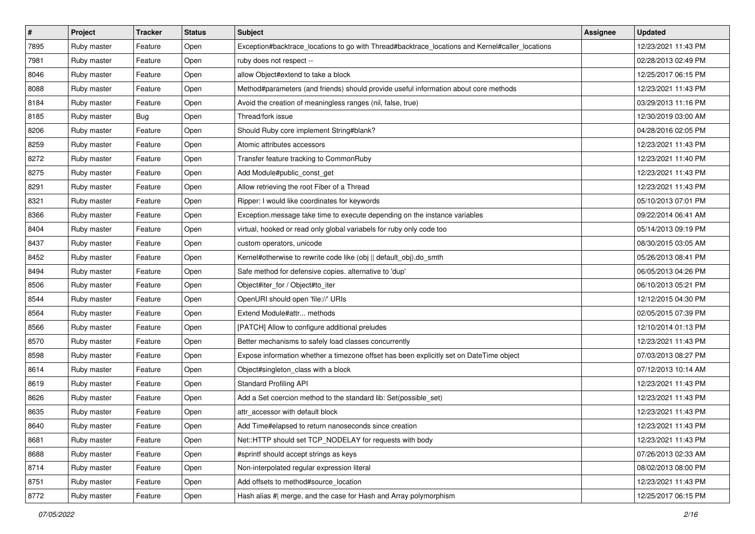| $\pmb{\#}$ | Project     | <b>Tracker</b> | <b>Status</b> | <b>Subject</b>                                                                                  | <b>Assignee</b> | <b>Updated</b>      |
|------------|-------------|----------------|---------------|-------------------------------------------------------------------------------------------------|-----------------|---------------------|
| 7895       | Ruby master | Feature        | Open          | Exception#backtrace_locations to go with Thread#backtrace_locations and Kernel#caller_locations |                 | 12/23/2021 11:43 PM |
| 7981       | Ruby master | Feature        | Open          | ruby does not respect --                                                                        |                 | 02/28/2013 02:49 PM |
| 8046       | Ruby master | Feature        | Open          | allow Object#extend to take a block                                                             |                 | 12/25/2017 06:15 PM |
| 8088       | Ruby master | Feature        | Open          | Method#parameters (and friends) should provide useful information about core methods            |                 | 12/23/2021 11:43 PM |
| 8184       | Ruby master | Feature        | Open          | Avoid the creation of meaningless ranges (nil, false, true)                                     |                 | 03/29/2013 11:16 PM |
| 8185       | Ruby master | <b>Bug</b>     | Open          | Thread/fork issue                                                                               |                 | 12/30/2019 03:00 AM |
| 8206       | Ruby master | Feature        | Open          | Should Ruby core implement String#blank?                                                        |                 | 04/28/2016 02:05 PM |
| 8259       | Ruby master | Feature        | Open          | Atomic attributes accessors                                                                     |                 | 12/23/2021 11:43 PM |
| 8272       | Ruby master | Feature        | Open          | Transfer feature tracking to CommonRuby                                                         |                 | 12/23/2021 11:40 PM |
| 8275       | Ruby master | Feature        | Open          | Add Module#public_const_get                                                                     |                 | 12/23/2021 11:43 PM |
| 8291       | Ruby master | Feature        | Open          | Allow retrieving the root Fiber of a Thread                                                     |                 | 12/23/2021 11:43 PM |
| 8321       | Ruby master | Feature        | Open          | Ripper: I would like coordinates for keywords                                                   |                 | 05/10/2013 07:01 PM |
| 8366       | Ruby master | Feature        | Open          | Exception.message take time to execute depending on the instance variables                      |                 | 09/22/2014 06:41 AM |
| 8404       | Ruby master | Feature        | Open          | virtual, hooked or read only global variabels for ruby only code too                            |                 | 05/14/2013 09:19 PM |
| 8437       | Ruby master | Feature        | Open          | custom operators, unicode                                                                       |                 | 08/30/2015 03:05 AM |
| 8452       | Ruby master | Feature        | Open          | Kernel#otherwise to rewrite code like (obj    default obj).do smth                              |                 | 05/26/2013 08:41 PM |
| 8494       | Ruby master | Feature        | Open          | Safe method for defensive copies. alternative to 'dup'                                          |                 | 06/05/2013 04:26 PM |
| 8506       | Ruby master | Feature        | Open          | Object#iter_for / Object#to_iter                                                                |                 | 06/10/2013 05:21 PM |
| 8544       | Ruby master | Feature        | Open          | OpenURI should open 'file://' URIs                                                              |                 | 12/12/2015 04:30 PM |
| 8564       | Ruby master | Feature        | Open          | Extend Module#attr methods                                                                      |                 | 02/05/2015 07:39 PM |
| 8566       | Ruby master | Feature        | Open          | [PATCH] Allow to configure additional preludes                                                  |                 | 12/10/2014 01:13 PM |
| 8570       | Ruby master | Feature        | Open          | Better mechanisms to safely load classes concurrently                                           |                 | 12/23/2021 11:43 PM |
| 8598       | Ruby master | Feature        | Open          | Expose information whether a timezone offset has been explicitly set on DateTime object         |                 | 07/03/2013 08:27 PM |
| 8614       | Ruby master | Feature        | Open          | Object#singleton_class with a block                                                             |                 | 07/12/2013 10:14 AM |
| 8619       | Ruby master | Feature        | Open          | <b>Standard Profiling API</b>                                                                   |                 | 12/23/2021 11:43 PM |
| 8626       | Ruby master | Feature        | Open          | Add a Set coercion method to the standard lib: Set(possible_set)                                |                 | 12/23/2021 11:43 PM |
| 8635       | Ruby master | Feature        | Open          | attr accessor with default block                                                                |                 | 12/23/2021 11:43 PM |
| 8640       | Ruby master | Feature        | Open          | Add Time#elapsed to return nanoseconds since creation                                           |                 | 12/23/2021 11:43 PM |
| 8681       | Ruby master | Feature        | Open          | Net::HTTP should set TCP_NODELAY for requests with body                                         |                 | 12/23/2021 11:43 PM |
| 8688       | Ruby master | Feature        | Open          | #sprintf should accept strings as keys                                                          |                 | 07/26/2013 02:33 AM |
| 8714       | Ruby master | Feature        | Open          | Non-interpolated regular expression literal                                                     |                 | 08/02/2013 08:00 PM |
| 8751       | Ruby master | Feature        | Open          | Add offsets to method#source_location                                                           |                 | 12/23/2021 11:43 PM |
| 8772       | Ruby master | Feature        | Open          | Hash alias #  merge, and the case for Hash and Array polymorphism                               |                 | 12/25/2017 06:15 PM |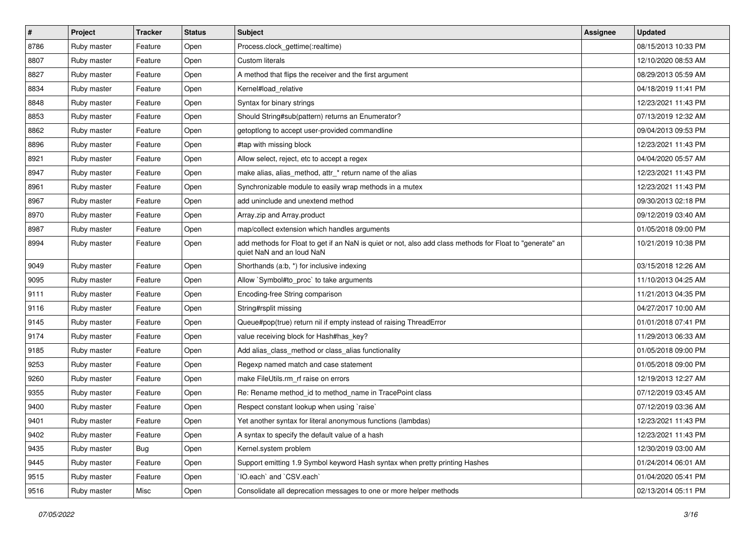| $\vert$ # | Project     | <b>Tracker</b> | <b>Status</b> | Subject                                                                                                                                | <b>Assignee</b> | <b>Updated</b>      |
|-----------|-------------|----------------|---------------|----------------------------------------------------------------------------------------------------------------------------------------|-----------------|---------------------|
| 8786      | Ruby master | Feature        | Open          | Process.clock_gettime(:realtime)                                                                                                       |                 | 08/15/2013 10:33 PM |
| 8807      | Ruby master | Feature        | Open          | Custom literals                                                                                                                        |                 | 12/10/2020 08:53 AM |
| 8827      | Ruby master | Feature        | Open          | A method that flips the receiver and the first argument                                                                                |                 | 08/29/2013 05:59 AM |
| 8834      | Ruby master | Feature        | Open          | Kernel#load relative                                                                                                                   |                 | 04/18/2019 11:41 PM |
| 8848      | Ruby master | Feature        | Open          | Syntax for binary strings                                                                                                              |                 | 12/23/2021 11:43 PM |
| 8853      | Ruby master | Feature        | Open          | Should String#sub(pattern) returns an Enumerator?                                                                                      |                 | 07/13/2019 12:32 AM |
| 8862      | Ruby master | Feature        | Open          | getoptlong to accept user-provided commandline                                                                                         |                 | 09/04/2013 09:53 PM |
| 8896      | Ruby master | Feature        | Open          | #tap with missing block                                                                                                                |                 | 12/23/2021 11:43 PM |
| 8921      | Ruby master | Feature        | Open          | Allow select, reject, etc to accept a regex                                                                                            |                 | 04/04/2020 05:57 AM |
| 8947      | Ruby master | Feature        | Open          | make alias, alias_method, attr_* return name of the alias                                                                              |                 | 12/23/2021 11:43 PM |
| 8961      | Ruby master | Feature        | Open          | Synchronizable module to easily wrap methods in a mutex                                                                                |                 | 12/23/2021 11:43 PM |
| 8967      | Ruby master | Feature        | Open          | add uninclude and unextend method                                                                                                      |                 | 09/30/2013 02:18 PM |
| 8970      | Ruby master | Feature        | Open          | Array.zip and Array.product                                                                                                            |                 | 09/12/2019 03:40 AM |
| 8987      | Ruby master | Feature        | Open          | map/collect extension which handles arguments                                                                                          |                 | 01/05/2018 09:00 PM |
| 8994      | Ruby master | Feature        | Open          | add methods for Float to get if an NaN is quiet or not, also add class methods for Float to "generate" an<br>quiet NaN and an loud NaN |                 | 10/21/2019 10:38 PM |
| 9049      | Ruby master | Feature        | Open          | Shorthands (a:b, *) for inclusive indexing                                                                                             |                 | 03/15/2018 12:26 AM |
| 9095      | Ruby master | Feature        | Open          | Allow `Symbol#to_proc` to take arguments                                                                                               |                 | 11/10/2013 04:25 AM |
| 9111      | Ruby master | Feature        | Open          | Encoding-free String comparison                                                                                                        |                 | 11/21/2013 04:35 PM |
| 9116      | Ruby master | Feature        | Open          | String#rsplit missing                                                                                                                  |                 | 04/27/2017 10:00 AM |
| 9145      | Ruby master | Feature        | Open          | Queue#pop(true) return nil if empty instead of raising ThreadError                                                                     |                 | 01/01/2018 07:41 PM |
| 9174      | Ruby master | Feature        | Open          | value receiving block for Hash#has_key?                                                                                                |                 | 11/29/2013 06:33 AM |
| 9185      | Ruby master | Feature        | Open          | Add alias_class_method or class_alias functionality                                                                                    |                 | 01/05/2018 09:00 PM |
| 9253      | Ruby master | Feature        | Open          | Regexp named match and case statement                                                                                                  |                 | 01/05/2018 09:00 PM |
| 9260      | Ruby master | Feature        | Open          | make FileUtils.rm rf raise on errors                                                                                                   |                 | 12/19/2013 12:27 AM |
| 9355      | Ruby master | Feature        | Open          | Re: Rename method id to method name in TracePoint class                                                                                |                 | 07/12/2019 03:45 AM |
| 9400      | Ruby master | Feature        | Open          | Respect constant lookup when using `raise`                                                                                             |                 | 07/12/2019 03:36 AM |
| 9401      | Ruby master | Feature        | Open          | Yet another syntax for literal anonymous functions (lambdas)                                                                           |                 | 12/23/2021 11:43 PM |
| 9402      | Ruby master | Feature        | Open          | A syntax to specify the default value of a hash                                                                                        |                 | 12/23/2021 11:43 PM |
| 9435      | Ruby master | <b>Bug</b>     | Open          | Kernel.system problem                                                                                                                  |                 | 12/30/2019 03:00 AM |
| 9445      | Ruby master | Feature        | Open          | Support emitting 1.9 Symbol keyword Hash syntax when pretty printing Hashes                                                            |                 | 01/24/2014 06:01 AM |
| 9515      | Ruby master | Feature        | Open          | 'IO.each' and 'CSV.each'                                                                                                               |                 | 01/04/2020 05:41 PM |
| 9516      | Ruby master | Misc           | Open          | Consolidate all deprecation messages to one or more helper methods                                                                     |                 | 02/13/2014 05:11 PM |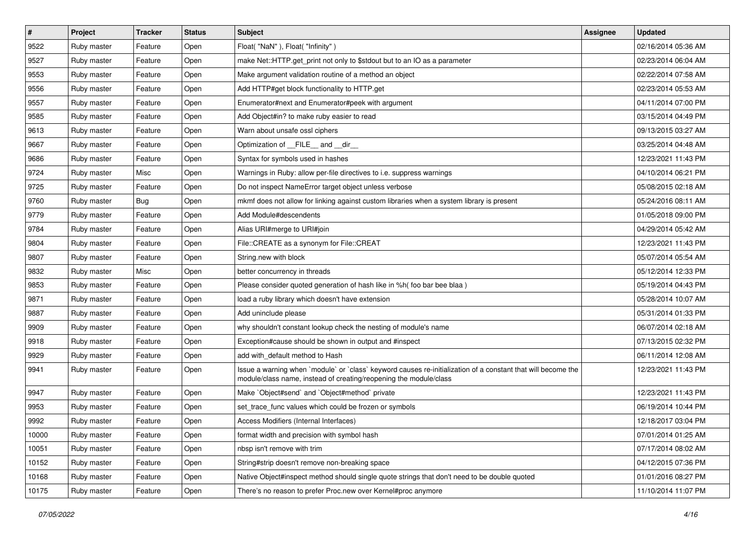| $\vert$ # | Project     | <b>Tracker</b> | <b>Status</b> | <b>Subject</b>                                                                                                                                                                    | Assignee | <b>Updated</b>      |
|-----------|-------------|----------------|---------------|-----------------------------------------------------------------------------------------------------------------------------------------------------------------------------------|----------|---------------------|
| 9522      | Ruby master | Feature        | Open          | Float("NaN"), Float("Infinity")                                                                                                                                                   |          | 02/16/2014 05:36 AM |
| 9527      | Ruby master | Feature        | Open          | make Net::HTTP.get_print not only to \$stdout but to an IO as a parameter                                                                                                         |          | 02/23/2014 06:04 AM |
| 9553      | Ruby master | Feature        | Open          | Make argument validation routine of a method an object                                                                                                                            |          | 02/22/2014 07:58 AM |
| 9556      | Ruby master | Feature        | Open          | Add HTTP#get block functionality to HTTP.get                                                                                                                                      |          | 02/23/2014 05:53 AM |
| 9557      | Ruby master | Feature        | Open          | Enumerator#next and Enumerator#peek with argument                                                                                                                                 |          | 04/11/2014 07:00 PM |
| 9585      | Ruby master | Feature        | Open          | Add Object#in? to make ruby easier to read                                                                                                                                        |          | 03/15/2014 04:49 PM |
| 9613      | Ruby master | Feature        | Open          | Warn about unsafe ossl ciphers                                                                                                                                                    |          | 09/13/2015 03:27 AM |
| 9667      | Ruby master | Feature        | Open          | Optimization of __FILE__ and __dir__                                                                                                                                              |          | 03/25/2014 04:48 AM |
| 9686      | Ruby master | Feature        | Open          | Syntax for symbols used in hashes                                                                                                                                                 |          | 12/23/2021 11:43 PM |
| 9724      | Ruby master | Misc           | Open          | Warnings in Ruby: allow per-file directives to i.e. suppress warnings                                                                                                             |          | 04/10/2014 06:21 PM |
| 9725      | Ruby master | Feature        | Open          | Do not inspect NameError target object unless verbose                                                                                                                             |          | 05/08/2015 02:18 AM |
| 9760      | Ruby master | Bug            | Open          | mkmf does not allow for linking against custom libraries when a system library is present                                                                                         |          | 05/24/2016 08:11 AM |
| 9779      | Ruby master | Feature        | Open          | Add Module#descendents                                                                                                                                                            |          | 01/05/2018 09:00 PM |
| 9784      | Ruby master | Feature        | Open          | Alias URI#merge to URI#join                                                                                                                                                       |          | 04/29/2014 05:42 AM |
| 9804      | Ruby master | Feature        | Open          | File::CREATE as a synonym for File::CREAT                                                                                                                                         |          | 12/23/2021 11:43 PM |
| 9807      | Ruby master | Feature        | Open          | String.new with block                                                                                                                                                             |          | 05/07/2014 05:54 AM |
| 9832      | Ruby master | Misc           | Open          | better concurrency in threads                                                                                                                                                     |          | 05/12/2014 12:33 PM |
| 9853      | Ruby master | Feature        | Open          | Please consider quoted generation of hash like in %h( foo bar bee blaa)                                                                                                           |          | 05/19/2014 04:43 PM |
| 9871      | Ruby master | Feature        | Open          | load a ruby library which doesn't have extension                                                                                                                                  |          | 05/28/2014 10:07 AM |
| 9887      | Ruby master | Feature        | Open          | Add uninclude please                                                                                                                                                              |          | 05/31/2014 01:33 PM |
| 9909      | Ruby master | Feature        | Open          | why shouldn't constant lookup check the nesting of module's name                                                                                                                  |          | 06/07/2014 02:18 AM |
| 9918      | Ruby master | Feature        | Open          | Exception#cause should be shown in output and #inspect                                                                                                                            |          | 07/13/2015 02:32 PM |
| 9929      | Ruby master | Feature        | Open          | add with_default method to Hash                                                                                                                                                   |          | 06/11/2014 12:08 AM |
| 9941      | Ruby master | Feature        | Open          | Issue a warning when `module` or `class` keyword causes re-initialization of a constant that will become the<br>module/class name, instead of creating/reopening the module/class |          | 12/23/2021 11:43 PM |
| 9947      | Ruby master | Feature        | Open          | Make `Object#send` and `Object#method` private                                                                                                                                    |          | 12/23/2021 11:43 PM |
| 9953      | Ruby master | Feature        | Open          | set_trace_func values which could be frozen or symbols                                                                                                                            |          | 06/19/2014 10:44 PM |
| 9992      | Ruby master | Feature        | Open          | Access Modifiers (Internal Interfaces)                                                                                                                                            |          | 12/18/2017 03:04 PM |
| 10000     | Ruby master | Feature        | Open          | format width and precision with symbol hash                                                                                                                                       |          | 07/01/2014 01:25 AM |
| 10051     | Ruby master | Feature        | Open          | nbsp isn't remove with trim                                                                                                                                                       |          | 07/17/2014 08:02 AM |
| 10152     | Ruby master | Feature        | Open          | String#strip doesn't remove non-breaking space                                                                                                                                    |          | 04/12/2015 07:36 PM |
| 10168     | Ruby master | Feature        | Open          | Native Object#inspect method should single quote strings that don't need to be double quoted                                                                                      |          | 01/01/2016 08:27 PM |
| 10175     | Ruby master | Feature        | Open          | There's no reason to prefer Proc.new over Kernel#proc anymore                                                                                                                     |          | 11/10/2014 11:07 PM |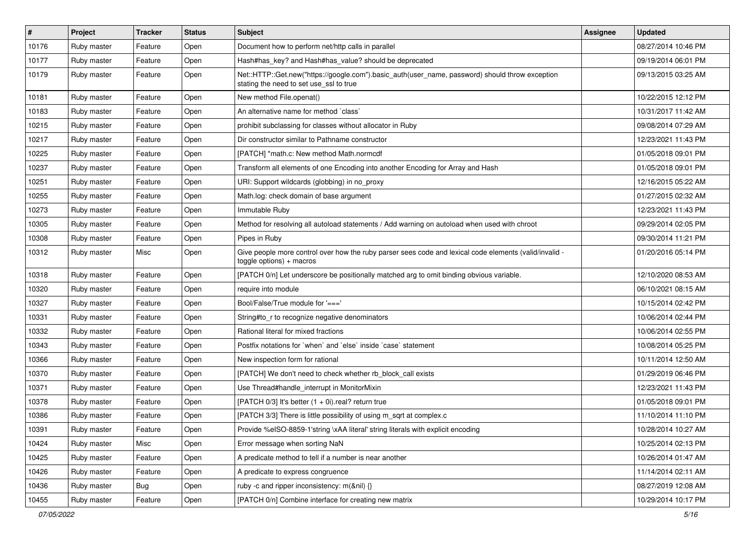| $\vert$ # | Project     | <b>Tracker</b> | <b>Status</b> | Subject                                                                                                                                    | Assignee | <b>Updated</b>      |
|-----------|-------------|----------------|---------------|--------------------------------------------------------------------------------------------------------------------------------------------|----------|---------------------|
| 10176     | Ruby master | Feature        | Open          | Document how to perform net/http calls in parallel                                                                                         |          | 08/27/2014 10:46 PM |
| 10177     | Ruby master | Feature        | Open          | Hash#has_key? and Hash#has_value? should be deprecated                                                                                     |          | 09/19/2014 06:01 PM |
| 10179     | Ruby master | Feature        | Open          | Net::HTTP::Get.new("https://google.com").basic_auth(user_name, password) should throw exception<br>stating the need to set use_ssl to true |          | 09/13/2015 03:25 AM |
| 10181     | Ruby master | Feature        | Open          | New method File.openat()                                                                                                                   |          | 10/22/2015 12:12 PM |
| 10183     | Ruby master | Feature        | Open          | An alternative name for method `class`                                                                                                     |          | 10/31/2017 11:42 AM |
| 10215     | Ruby master | Feature        | Open          | prohibit subclassing for classes without allocator in Ruby                                                                                 |          | 09/08/2014 07:29 AM |
| 10217     | Ruby master | Feature        | Open          | Dir constructor similar to Pathname constructor                                                                                            |          | 12/23/2021 11:43 PM |
| 10225     | Ruby master | Feature        | Open          | [PATCH] *math.c: New method Math.normcdf                                                                                                   |          | 01/05/2018 09:01 PM |
| 10237     | Ruby master | Feature        | Open          | Transform all elements of one Encoding into another Encoding for Array and Hash                                                            |          | 01/05/2018 09:01 PM |
| 10251     | Ruby master | Feature        | Open          | URI: Support wildcards (globbing) in no_proxy                                                                                              |          | 12/16/2015 05:22 AM |
| 10255     | Ruby master | Feature        | Open          | Math.log: check domain of base argument                                                                                                    |          | 01/27/2015 02:32 AM |
| 10273     | Ruby master | Feature        | Open          | Immutable Ruby                                                                                                                             |          | 12/23/2021 11:43 PM |
| 10305     | Ruby master | Feature        | Open          | Method for resolving all autoload statements / Add warning on autoload when used with chroot                                               |          | 09/29/2014 02:05 PM |
| 10308     | Ruby master | Feature        | Open          | Pipes in Ruby                                                                                                                              |          | 09/30/2014 11:21 PM |
| 10312     | Ruby master | Misc           | Open          | Give people more control over how the ruby parser sees code and lexical code elements (valid/invalid -<br>$to ggle$ options) + macros      |          | 01/20/2016 05:14 PM |
| 10318     | Ruby master | Feature        | Open          | [PATCH 0/n] Let underscore be positionally matched arg to omit binding obvious variable.                                                   |          | 12/10/2020 08:53 AM |
| 10320     | Ruby master | Feature        | Open          | require into module                                                                                                                        |          | 06/10/2021 08:15 AM |
| 10327     | Ruby master | Feature        | Open          | Bool/False/True module for '==='                                                                                                           |          | 10/15/2014 02:42 PM |
| 10331     | Ruby master | Feature        | Open          | String#to_r to recognize negative denominators                                                                                             |          | 10/06/2014 02:44 PM |
| 10332     | Ruby master | Feature        | Open          | Rational literal for mixed fractions                                                                                                       |          | 10/06/2014 02:55 PM |
| 10343     | Ruby master | Feature        | Open          | Postfix notations for 'when' and 'else' inside 'case' statement                                                                            |          | 10/08/2014 05:25 PM |
| 10366     | Ruby master | Feature        | Open          | New inspection form for rational                                                                                                           |          | 10/11/2014 12:50 AM |
| 10370     | Ruby master | Feature        | Open          | [PATCH] We don't need to check whether rb_block_call exists                                                                                |          | 01/29/2019 06:46 PM |
| 10371     | Ruby master | Feature        | Open          | Use Thread#handle_interrupt in MonitorMixin                                                                                                |          | 12/23/2021 11:43 PM |
| 10378     | Ruby master | Feature        | Open          | [PATCH 0/3] It's better $(1 + 0i)$ real? return true                                                                                       |          | 01/05/2018 09:01 PM |
| 10386     | Ruby master | Feature        | Open          | [PATCH 3/3] There is little possibility of using m_sqrt at complex.c                                                                       |          | 11/10/2014 11:10 PM |
| 10391     | Ruby master | Feature        | Open          | Provide %eISO-8859-1'string \xAA literal' string literals with explicit encoding                                                           |          | 10/28/2014 10:27 AM |
| 10424     | Ruby master | Misc           | Open          | Error message when sorting NaN                                                                                                             |          | 10/25/2014 02:13 PM |
| 10425     | Ruby master | Feature        | Open          | A predicate method to tell if a number is near another                                                                                     |          | 10/26/2014 01:47 AM |
| 10426     | Ruby master | Feature        | Open          | A predicate to express congruence                                                                                                          |          | 11/14/2014 02:11 AM |
| 10436     | Ruby master | Bug            | Open          | ruby -c and ripper inconsistency: m(&nil) {}                                                                                               |          | 08/27/2019 12:08 AM |
| 10455     | Ruby master | Feature        | Open          | [PATCH 0/n] Combine interface for creating new matrix                                                                                      |          | 10/29/2014 10:17 PM |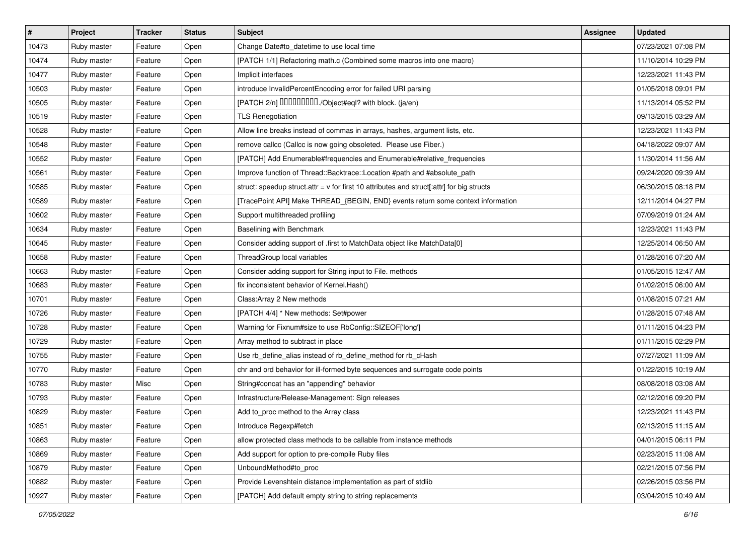| $\vert$ # | Project     | <b>Tracker</b> | <b>Status</b> | Subject                                                                                     | Assignee | <b>Updated</b>      |
|-----------|-------------|----------------|---------------|---------------------------------------------------------------------------------------------|----------|---------------------|
| 10473     | Ruby master | Feature        | Open          | Change Date#to_datetime to use local time                                                   |          | 07/23/2021 07:08 PM |
| 10474     | Ruby master | Feature        | Open          | [PATCH 1/1] Refactoring math.c (Combined some macros into one macro)                        |          | 11/10/2014 10:29 PM |
| 10477     | Ruby master | Feature        | Open          | Implicit interfaces                                                                         |          | 12/23/2021 11:43 PM |
| 10503     | Ruby master | Feature        | Open          | introduce InvalidPercentEncoding error for failed URI parsing                               |          | 01/05/2018 09:01 PM |
| 10505     | Ruby master | Feature        | Open          | [PATCH 2/n] DDDDDDDD./Object#eql? with block. (ja/en)                                       |          | 11/13/2014 05:52 PM |
| 10519     | Ruby master | Feature        | Open          | <b>TLS Renegotiation</b>                                                                    |          | 09/13/2015 03:29 AM |
| 10528     | Ruby master | Feature        | Open          | Allow line breaks instead of commas in arrays, hashes, argument lists, etc.                 |          | 12/23/2021 11:43 PM |
| 10548     | Ruby master | Feature        | Open          | remove callcc (Callcc is now going obsoleted. Please use Fiber.)                            |          | 04/18/2022 09:07 AM |
| 10552     | Ruby master | Feature        | Open          | [PATCH] Add Enumerable#frequencies and Enumerable#relative_frequencies                      |          | 11/30/2014 11:56 AM |
| 10561     | Ruby master | Feature        | Open          | Improve function of Thread::Backtrace::Location #path and #absolute_path                    |          | 09/24/2020 09:39 AM |
| 10585     | Ruby master | Feature        | Open          | struct: speedup struct.attr = $v$ for first 10 attributes and struct[:attr] for big structs |          | 06/30/2015 08:18 PM |
| 10589     | Ruby master | Feature        | Open          | [TracePoint API] Make THREAD_{BEGIN, END} events return some context information            |          | 12/11/2014 04:27 PM |
| 10602     | Ruby master | Feature        | Open          | Support multithreaded profiling                                                             |          | 07/09/2019 01:24 AM |
| 10634     | Ruby master | Feature        | Open          | Baselining with Benchmark                                                                   |          | 12/23/2021 11:43 PM |
| 10645     | Ruby master | Feature        | Open          | Consider adding support of .first to MatchData object like MatchData[0]                     |          | 12/25/2014 06:50 AM |
| 10658     | Ruby master | Feature        | Open          | ThreadGroup local variables                                                                 |          | 01/28/2016 07:20 AM |
| 10663     | Ruby master | Feature        | Open          | Consider adding support for String input to File. methods                                   |          | 01/05/2015 12:47 AM |
| 10683     | Ruby master | Feature        | Open          | fix inconsistent behavior of Kernel. Hash()                                                 |          | 01/02/2015 06:00 AM |
| 10701     | Ruby master | Feature        | Open          | Class: Array 2 New methods                                                                  |          | 01/08/2015 07:21 AM |
| 10726     | Ruby master | Feature        | Open          | [PATCH 4/4] * New methods: Set#power                                                        |          | 01/28/2015 07:48 AM |
| 10728     | Ruby master | Feature        | Open          | Warning for Fixnum#size to use RbConfig::SIZEOF['long']                                     |          | 01/11/2015 04:23 PM |
| 10729     | Ruby master | Feature        | Open          | Array method to subtract in place                                                           |          | 01/11/2015 02:29 PM |
| 10755     | Ruby master | Feature        | Open          | Use rb_define_alias instead of rb_define_method for rb_cHash                                |          | 07/27/2021 11:09 AM |
| 10770     | Ruby master | Feature        | Open          | chr and ord behavior for ill-formed byte sequences and surrogate code points                |          | 01/22/2015 10:19 AM |
| 10783     | Ruby master | Misc           | Open          | String#concat has an "appending" behavior                                                   |          | 08/08/2018 03:08 AM |
| 10793     | Ruby master | Feature        | Open          | Infrastructure/Release-Management: Sign releases                                            |          | 02/12/2016 09:20 PM |
| 10829     | Ruby master | Feature        | Open          | Add to_proc method to the Array class                                                       |          | 12/23/2021 11:43 PM |
| 10851     | Ruby master | Feature        | Open          | Introduce Regexp#fetch                                                                      |          | 02/13/2015 11:15 AM |
| 10863     | Ruby master | Feature        | Open          | allow protected class methods to be callable from instance methods                          |          | 04/01/2015 06:11 PM |
| 10869     | Ruby master | Feature        | Open          | Add support for option to pre-compile Ruby files                                            |          | 02/23/2015 11:08 AM |
| 10879     | Ruby master | Feature        | Open          | UnboundMethod#to_proc                                                                       |          | 02/21/2015 07:56 PM |
| 10882     | Ruby master | Feature        | Open          | Provide Levenshtein distance implementation as part of stdlib                               |          | 02/26/2015 03:56 PM |
| 10927     | Ruby master | Feature        | Open          | [PATCH] Add default empty string to string replacements                                     |          | 03/04/2015 10:49 AM |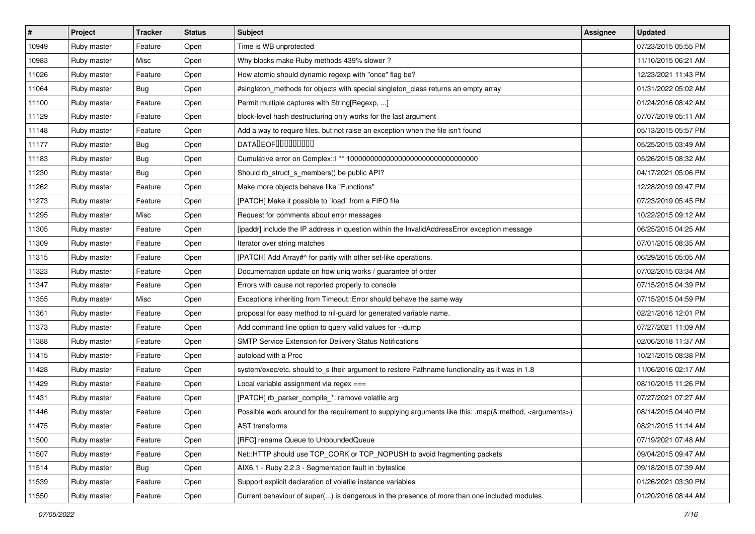| $\sharp$ | Project     | <b>Tracker</b> | <b>Status</b> | Subject                                                                                                            | Assignee | <b>Updated</b>      |
|----------|-------------|----------------|---------------|--------------------------------------------------------------------------------------------------------------------|----------|---------------------|
| 10949    | Ruby master | Feature        | Open          | Time is WB unprotected                                                                                             |          | 07/23/2015 05:55 PM |
| 10983    | Ruby master | Misc           | Open          | Why blocks make Ruby methods 439% slower?                                                                          |          | 11/10/2015 06:21 AM |
| 11026    | Ruby master | Feature        | Open          | How atomic should dynamic regexp with "once" flag be?                                                              |          | 12/23/2021 11:43 PM |
| 11064    | Ruby master | Bug            | Open          | #singleton_methods for objects with special singleton_class returns an empty array                                 |          | 01/31/2022 05:02 AM |
| 11100    | Ruby master | Feature        | Open          | Permit multiple captures with String[Regexp, ]                                                                     |          | 01/24/2016 08:42 AM |
| 11129    | Ruby master | Feature        | Open          | block-level hash destructuring only works for the last argument                                                    |          | 07/07/2019 05:11 AM |
| 11148    | Ruby master | Feature        | Open          | Add a way to require files, but not raise an exception when the file isn't found                                   |          | 05/13/2015 05:57 PM |
| 11177    | Ruby master | <b>Bug</b>     | Open          | DATALEOFILLLLLLLLLL                                                                                                |          | 05/25/2015 03:49 AM |
| 11183    | Ruby master | Bug            | Open          |                                                                                                                    |          | 05/26/2015 08:32 AM |
| 11230    | Ruby master | <b>Bug</b>     | Open          | Should rb_struct_s_members() be public API?                                                                        |          | 04/17/2021 05:06 PM |
| 11262    | Ruby master | Feature        | Open          | Make more objects behave like "Functions"                                                                          |          | 12/28/2019 09:47 PM |
| 11273    | Ruby master | Feature        | Open          | [PATCH] Make it possible to `load` from a FIFO file                                                                |          | 07/23/2019 05:45 PM |
| 11295    | Ruby master | Misc           | Open          | Request for comments about error messages                                                                          |          | 10/22/2015 09:12 AM |
| 11305    | Ruby master | Feature        | Open          | [ipaddr] include the IP address in question within the InvalidAddressError exception message                       |          | 06/25/2015 04:25 AM |
| 11309    | Ruby master | Feature        | Open          | Iterator over string matches                                                                                       |          | 07/01/2015 08:35 AM |
| 11315    | Ruby master | Feature        | Open          | [PATCH] Add Array#^ for parity with other set-like operations.                                                     |          | 06/29/2015 05:05 AM |
| 11323    | Ruby master | Feature        | Open          | Documentation update on how uniq works / guarantee of order                                                        |          | 07/02/2015 03:34 AM |
| 11347    | Ruby master | Feature        | Open          | Errors with cause not reported properly to console                                                                 |          | 07/15/2015 04:39 PM |
| 11355    | Ruby master | Misc           | Open          | Exceptions inheriting from Timeout:: Error should behave the same way                                              |          | 07/15/2015 04:59 PM |
| 11361    | Ruby master | Feature        | Open          | proposal for easy method to nil-guard for generated variable name.                                                 |          | 02/21/2016 12:01 PM |
| 11373    | Ruby master | Feature        | Open          | Add command line option to query valid values for --dump                                                           |          | 07/27/2021 11:09 AM |
| 11388    | Ruby master | Feature        | Open          | SMTP Service Extension for Delivery Status Notifications                                                           |          | 02/06/2018 11:37 AM |
| 11415    | Ruby master | Feature        | Open          | autoload with a Proc                                                                                               |          | 10/21/2015 08:38 PM |
| 11428    | Ruby master | Feature        | Open          | system/exec/etc. should to_s their argument to restore Pathname functionality as it was in 1.8                     |          | 11/06/2016 02:17 AM |
| 11429    | Ruby master | Feature        | Open          | Local variable assignment via regex ===                                                                            |          | 08/10/2015 11:26 PM |
| 11431    | Ruby master | Feature        | Open          | [PATCH] rb_parser_compile_*: remove volatile arg                                                                   |          | 07/27/2021 07:27 AM |
| 11446    | Ruby master | Feature        | Open          | Possible work around for the requirement to supplying arguments like this: .map(&:method, <arguments>)</arguments> |          | 08/14/2015 04:40 PM |
| 11475    | Ruby master | Feature        | Open          | AST transforms                                                                                                     |          | 08/21/2015 11:14 AM |
| 11500    | Ruby master | Feature        | Open          | [RFC] rename Queue to UnboundedQueue                                                                               |          | 07/19/2021 07:48 AM |
| 11507    | Ruby master | Feature        | Open          | Net::HTTP should use TCP_CORK or TCP_NOPUSH to avoid fragmenting packets                                           |          | 09/04/2015 09:47 AM |
| 11514    | Ruby master | Bug            | Open          | AIX6.1 - Ruby 2.2.3 - Segmentation fault in :byteslice                                                             |          | 09/18/2015 07:39 AM |
| 11539    | Ruby master | Feature        | Open          | Support explicit declaration of volatile instance variables                                                        |          | 01/26/2021 03:30 PM |
| 11550    | Ruby master | Feature        | Open          | Current behaviour of super() is dangerous in the presence of more than one included modules.                       |          | 01/20/2016 08:44 AM |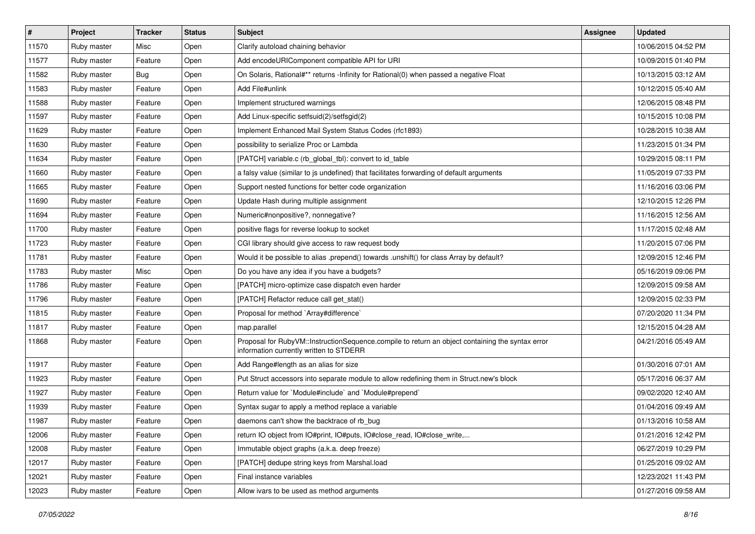| $\vert$ # | Project     | <b>Tracker</b> | <b>Status</b> | Subject                                                                                                                                     | Assignee | <b>Updated</b>      |
|-----------|-------------|----------------|---------------|---------------------------------------------------------------------------------------------------------------------------------------------|----------|---------------------|
| 11570     | Ruby master | Misc           | Open          | Clarify autoload chaining behavior                                                                                                          |          | 10/06/2015 04:52 PM |
| 11577     | Ruby master | Feature        | Open          | Add encodeURIComponent compatible API for URI                                                                                               |          | 10/09/2015 01:40 PM |
| 11582     | Ruby master | <b>Bug</b>     | Open          | On Solaris, Rational#** returns -Infinity for Rational(0) when passed a negative Float                                                      |          | 10/13/2015 03:12 AM |
| 11583     | Ruby master | Feature        | Open          | Add File#unlink                                                                                                                             |          | 10/12/2015 05:40 AM |
| 11588     | Ruby master | Feature        | Open          | Implement structured warnings                                                                                                               |          | 12/06/2015 08:48 PM |
| 11597     | Ruby master | Feature        | Open          | Add Linux-specific setfsuid(2)/setfsgid(2)                                                                                                  |          | 10/15/2015 10:08 PM |
| 11629     | Ruby master | Feature        | Open          | Implement Enhanced Mail System Status Codes (rfc1893)                                                                                       |          | 10/28/2015 10:38 AM |
| 11630     | Ruby master | Feature        | Open          | possibility to serialize Proc or Lambda                                                                                                     |          | 11/23/2015 01:34 PM |
| 11634     | Ruby master | Feature        | Open          | [PATCH] variable.c (rb_global_tbl): convert to id_table                                                                                     |          | 10/29/2015 08:11 PM |
| 11660     | Ruby master | Feature        | Open          | a falsy value (similar to js undefined) that facilitates forwarding of default arguments                                                    |          | 11/05/2019 07:33 PM |
| 11665     | Ruby master | Feature        | Open          | Support nested functions for better code organization                                                                                       |          | 11/16/2016 03:06 PM |
| 11690     | Ruby master | Feature        | Open          | Update Hash during multiple assignment                                                                                                      |          | 12/10/2015 12:26 PM |
| 11694     | Ruby master | Feature        | Open          | Numeric#nonpositive?, nonnegative?                                                                                                          |          | 11/16/2015 12:56 AM |
| 11700     | Ruby master | Feature        | Open          | positive flags for reverse lookup to socket                                                                                                 |          | 11/17/2015 02:48 AM |
| 11723     | Ruby master | Feature        | Open          | CGI library should give access to raw request body                                                                                          |          | 11/20/2015 07:06 PM |
| 11781     | Ruby master | Feature        | Open          | Would it be possible to alias .prepend() towards .unshift() for class Array by default?                                                     |          | 12/09/2015 12:46 PM |
| 11783     | Ruby master | Misc           | Open          | Do you have any idea if you have a budgets?                                                                                                 |          | 05/16/2019 09:06 PM |
| 11786     | Ruby master | Feature        | Open          | [PATCH] micro-optimize case dispatch even harder                                                                                            |          | 12/09/2015 09:58 AM |
| 11796     | Ruby master | Feature        | Open          | [PATCH] Refactor reduce call get stat()                                                                                                     |          | 12/09/2015 02:33 PM |
| 11815     | Ruby master | Feature        | Open          | Proposal for method `Array#difference`                                                                                                      |          | 07/20/2020 11:34 PM |
| 11817     | Ruby master | Feature        | Open          | map.parallel                                                                                                                                |          | 12/15/2015 04:28 AM |
| 11868     | Ruby master | Feature        | Open          | Proposal for RubyVM::InstructionSequence.compile to return an object containing the syntax error<br>information currently written to STDERR |          | 04/21/2016 05:49 AM |
| 11917     | Ruby master | Feature        | Open          | Add Range#length as an alias for size                                                                                                       |          | 01/30/2016 07:01 AM |
| 11923     | Ruby master | Feature        | Open          | Put Struct accessors into separate module to allow redefining them in Struct.new's block                                                    |          | 05/17/2016 06:37 AM |
| 11927     | Ruby master | Feature        | Open          | Return value for `Module#include` and `Module#prepend`                                                                                      |          | 09/02/2020 12:40 AM |
| 11939     | Ruby master | Feature        | Open          | Syntax sugar to apply a method replace a variable                                                                                           |          | 01/04/2016 09:49 AM |
| 11987     | Ruby master | Feature        | Open          | daemons can't show the backtrace of rb bug                                                                                                  |          | 01/13/2016 10:58 AM |
| 12006     | Ruby master | Feature        | Open          | return IO object from IO#print, IO#puts, IO#close_read, IO#close_write,                                                                     |          | 01/21/2016 12:42 PM |
| 12008     | Ruby master | Feature        | Open          | Immutable object graphs (a.k.a. deep freeze)                                                                                                |          | 06/27/2019 10:29 PM |
| 12017     | Ruby master | Feature        | Open          | [PATCH] dedupe string keys from Marshal.load                                                                                                |          | 01/25/2016 09:02 AM |
| 12021     | Ruby master | Feature        | Open          | Final instance variables                                                                                                                    |          | 12/23/2021 11:43 PM |
| 12023     | Ruby master | Feature        | Open          | Allow ivars to be used as method arguments                                                                                                  |          | 01/27/2016 09:58 AM |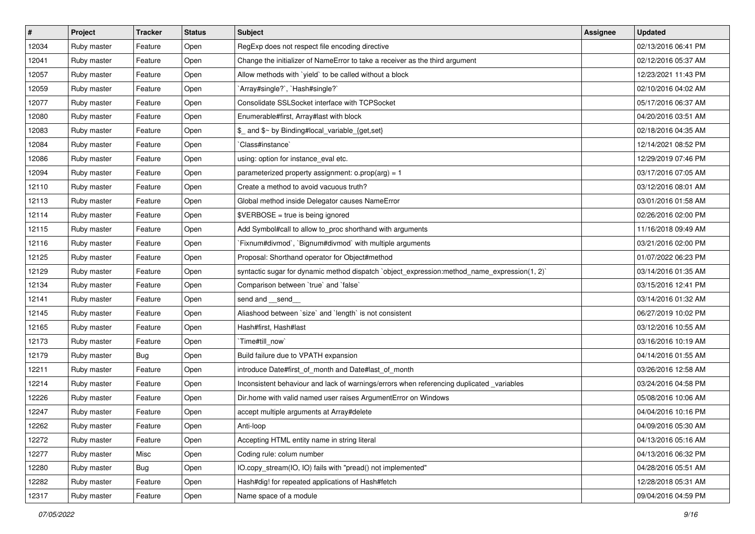| #     | Project     | <b>Tracker</b> | <b>Status</b> | <b>Subject</b>                                                                               | Assignee | <b>Updated</b>      |
|-------|-------------|----------------|---------------|----------------------------------------------------------------------------------------------|----------|---------------------|
| 12034 | Ruby master | Feature        | Open          | RegExp does not respect file encoding directive                                              |          | 02/13/2016 06:41 PM |
| 12041 | Ruby master | Feature        | Open          | Change the initializer of NameError to take a receiver as the third argument                 |          | 02/12/2016 05:37 AM |
| 12057 | Ruby master | Feature        | Open          | Allow methods with `yield` to be called without a block                                      |          | 12/23/2021 11:43 PM |
| 12059 | Ruby master | Feature        | Open          | `Array#single?`, `Hash#single?`                                                              |          | 02/10/2016 04:02 AM |
| 12077 | Ruby master | Feature        | Open          | Consolidate SSLSocket interface with TCPSocket                                               |          | 05/17/2016 06:37 AM |
| 12080 | Ruby master | Feature        | Open          | Enumerable#first, Array#last with block                                                      |          | 04/20/2016 03:51 AM |
| 12083 | Ruby master | Feature        | Open          | \$ and \$~ by Binding#local_variable_{get,set}                                               |          | 02/18/2016 04:35 AM |
| 12084 | Ruby master | Feature        | Open          | `Class#instance`                                                                             |          | 12/14/2021 08:52 PM |
| 12086 | Ruby master | Feature        | Open          | using: option for instance_eval etc.                                                         |          | 12/29/2019 07:46 PM |
| 12094 | Ruby master | Feature        | Open          | parameterized property assignment: $o.prop(arg) = 1$                                         |          | 03/17/2016 07:05 AM |
| 12110 | Ruby master | Feature        | Open          | Create a method to avoid vacuous truth?                                                      |          | 03/12/2016 08:01 AM |
| 12113 | Ruby master | Feature        | Open          | Global method inside Delegator causes NameError                                              |          | 03/01/2016 01:58 AM |
| 12114 | Ruby master | Feature        | Open          | $\texttt{SVERBOSE}$ = true is being ignored                                                  |          | 02/26/2016 02:00 PM |
| 12115 | Ruby master | Feature        | Open          | Add Symbol#call to allow to_proc shorthand with arguments                                    |          | 11/16/2018 09:49 AM |
| 12116 | Ruby master | Feature        | Open          | `Fixnum#divmod`, `Bignum#divmod` with multiple arguments                                     |          | 03/21/2016 02:00 PM |
| 12125 | Ruby master | Feature        | Open          | Proposal: Shorthand operator for Object#method                                               |          | 01/07/2022 06:23 PM |
| 12129 | Ruby master | Feature        | Open          | syntactic sugar for dynamic method dispatch `object_expression:method_name_expression(1, 2)` |          | 03/14/2016 01:35 AM |
| 12134 | Ruby master | Feature        | Open          | Comparison between 'true' and 'false'                                                        |          | 03/15/2016 12:41 PM |
| 12141 | Ruby master | Feature        | Open          | send and __send_                                                                             |          | 03/14/2016 01:32 AM |
| 12145 | Ruby master | Feature        | Open          | Aliashood between 'size' and 'length' is not consistent                                      |          | 06/27/2019 10:02 PM |
| 12165 | Ruby master | Feature        | Open          | Hash#first, Hash#last                                                                        |          | 03/12/2016 10:55 AM |
| 12173 | Ruby master | Feature        | Open          | `Time#till_now`                                                                              |          | 03/16/2016 10:19 AM |
| 12179 | Ruby master | Bug            | Open          | Build failure due to VPATH expansion                                                         |          | 04/14/2016 01:55 AM |
| 12211 | Ruby master | Feature        | Open          | introduce Date#first of month and Date#last of month                                         |          | 03/26/2016 12:58 AM |
| 12214 | Ruby master | Feature        | Open          | Inconsistent behaviour and lack of warnings/errors when referencing duplicated _variables    |          | 03/24/2016 04:58 PM |
| 12226 | Ruby master | Feature        | Open          | Dir.home with valid named user raises ArgumentError on Windows                               |          | 05/08/2016 10:06 AM |
| 12247 | Ruby master | Feature        | Open          | accept multiple arguments at Array#delete                                                    |          | 04/04/2016 10:16 PM |
| 12262 | Ruby master | Feature        | Open          | Anti-loop                                                                                    |          | 04/09/2016 05:30 AM |
| 12272 | Ruby master | Feature        | Open          | Accepting HTML entity name in string literal                                                 |          | 04/13/2016 05:16 AM |
| 12277 | Ruby master | Misc           | Open          | Coding rule: colum number                                                                    |          | 04/13/2016 06:32 PM |
| 12280 | Ruby master | <b>Bug</b>     | Open          | IO.copy_stream(IO, IO) fails with "pread() not implemented"                                  |          | 04/28/2016 05:51 AM |
| 12282 | Ruby master | Feature        | Open          | Hash#dig! for repeated applications of Hash#fetch                                            |          | 12/28/2018 05:31 AM |
| 12317 | Ruby master | Feature        | Open          | Name space of a module                                                                       |          | 09/04/2016 04:59 PM |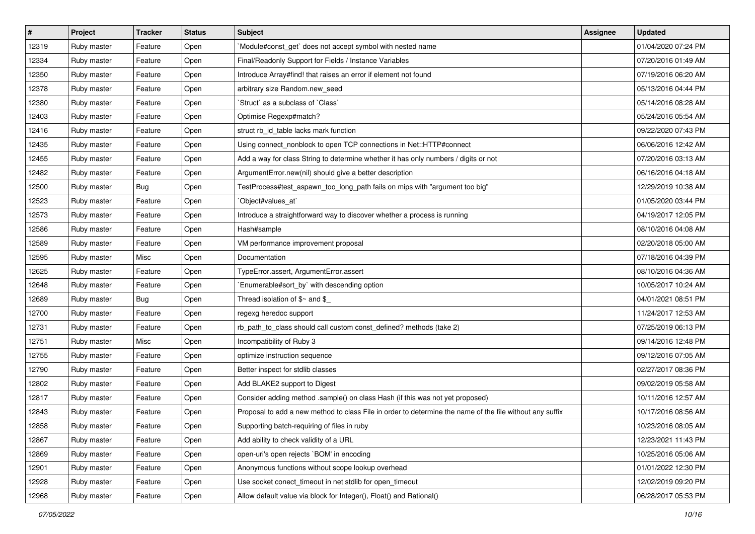| $\vert$ # | Project     | <b>Tracker</b> | <b>Status</b> | <b>Subject</b>                                                                                           | Assignee | <b>Updated</b>      |
|-----------|-------------|----------------|---------------|----------------------------------------------------------------------------------------------------------|----------|---------------------|
| 12319     | Ruby master | Feature        | Open          | Module#const_get` does not accept symbol with nested name                                                |          | 01/04/2020 07:24 PM |
| 12334     | Ruby master | Feature        | Open          | Final/Readonly Support for Fields / Instance Variables                                                   |          | 07/20/2016 01:49 AM |
| 12350     | Ruby master | Feature        | Open          | Introduce Array#find! that raises an error if element not found                                          |          | 07/19/2016 06:20 AM |
| 12378     | Ruby master | Feature        | Open          | arbitrary size Random.new_seed                                                                           |          | 05/13/2016 04:44 PM |
| 12380     | Ruby master | Feature        | Open          | 'Struct' as a subclass of 'Class'                                                                        |          | 05/14/2016 08:28 AM |
| 12403     | Ruby master | Feature        | Open          | Optimise Regexp#match?                                                                                   |          | 05/24/2016 05:54 AM |
| 12416     | Ruby master | Feature        | Open          | struct rb_id_table lacks mark function                                                                   |          | 09/22/2020 07:43 PM |
| 12435     | Ruby master | Feature        | Open          | Using connect_nonblock to open TCP connections in Net::HTTP#connect                                      |          | 06/06/2016 12:42 AM |
| 12455     | Ruby master | Feature        | Open          | Add a way for class String to determine whether it has only numbers / digits or not                      |          | 07/20/2016 03:13 AM |
| 12482     | Ruby master | Feature        | Open          | ArgumentError.new(nil) should give a better description                                                  |          | 06/16/2016 04:18 AM |
| 12500     | Ruby master | <b>Bug</b>     | Open          | TestProcess#test_aspawn_too_long_path fails on mips with "argument too big"                              |          | 12/29/2019 10:38 AM |
| 12523     | Ruby master | Feature        | Open          | `Object#values_at`                                                                                       |          | 01/05/2020 03:44 PM |
| 12573     | Ruby master | Feature        | Open          | Introduce a straightforward way to discover whether a process is running                                 |          | 04/19/2017 12:05 PM |
| 12586     | Ruby master | Feature        | Open          | Hash#sample                                                                                              |          | 08/10/2016 04:08 AM |
| 12589     | Ruby master | Feature        | Open          | VM performance improvement proposal                                                                      |          | 02/20/2018 05:00 AM |
| 12595     | Ruby master | Misc           | Open          | Documentation                                                                                            |          | 07/18/2016 04:39 PM |
| 12625     | Ruby master | Feature        | Open          | TypeError.assert, ArgumentError.assert                                                                   |          | 08/10/2016 04:36 AM |
| 12648     | Ruby master | Feature        | Open          | `Enumerable#sort_by` with descending option                                                              |          | 10/05/2017 10:24 AM |
| 12689     | Ruby master | Bug            | Open          | Thread isolation of $$~$ and $$$                                                                         |          | 04/01/2021 08:51 PM |
| 12700     | Ruby master | Feature        | Open          | regexg heredoc support                                                                                   |          | 11/24/2017 12:53 AM |
| 12731     | Ruby master | Feature        | Open          | rb_path_to_class should call custom const_defined? methods (take 2)                                      |          | 07/25/2019 06:13 PM |
| 12751     | Ruby master | Misc           | Open          | Incompatibility of Ruby 3                                                                                |          | 09/14/2016 12:48 PM |
| 12755     | Ruby master | Feature        | Open          | optimize instruction sequence                                                                            |          | 09/12/2016 07:05 AM |
| 12790     | Ruby master | Feature        | Open          | Better inspect for stdlib classes                                                                        |          | 02/27/2017 08:36 PM |
| 12802     | Ruby master | Feature        | Open          | Add BLAKE2 support to Digest                                                                             |          | 09/02/2019 05:58 AM |
| 12817     | Ruby master | Feature        | Open          | Consider adding method .sample() on class Hash (if this was not yet proposed)                            |          | 10/11/2016 12:57 AM |
| 12843     | Ruby master | Feature        | Open          | Proposal to add a new method to class File in order to determine the name of the file without any suffix |          | 10/17/2016 08:56 AM |
| 12858     | Ruby master | Feature        | Open          | Supporting batch-requiring of files in ruby                                                              |          | 10/23/2016 08:05 AM |
| 12867     | Ruby master | Feature        | Open          | Add ability to check validity of a URL                                                                   |          | 12/23/2021 11:43 PM |
| 12869     | Ruby master | Feature        | Open          | open-uri's open rejects `BOM' in encoding                                                                |          | 10/25/2016 05:06 AM |
| 12901     | Ruby master | Feature        | Open          | Anonymous functions without scope lookup overhead                                                        |          | 01/01/2022 12:30 PM |
| 12928     | Ruby master | Feature        | Open          | Use socket conect_timeout in net stdlib for open_timeout                                                 |          | 12/02/2019 09:20 PM |
| 12968     | Ruby master | Feature        | Open          | Allow default value via block for Integer(), Float() and Rational()                                      |          | 06/28/2017 05:53 PM |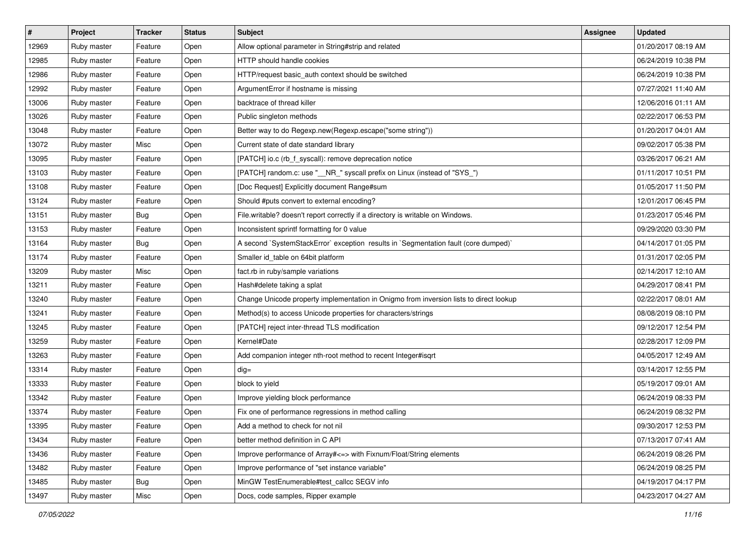| #     | Project     | <b>Tracker</b> | <b>Status</b> | <b>Subject</b>                                                                         | Assignee | <b>Updated</b>      |
|-------|-------------|----------------|---------------|----------------------------------------------------------------------------------------|----------|---------------------|
| 12969 | Ruby master | Feature        | Open          | Allow optional parameter in String#strip and related                                   |          | 01/20/2017 08:19 AM |
| 12985 | Ruby master | Feature        | Open          | HTTP should handle cookies                                                             |          | 06/24/2019 10:38 PM |
| 12986 | Ruby master | Feature        | Open          | HTTP/request basic_auth context should be switched                                     |          | 06/24/2019 10:38 PM |
| 12992 | Ruby master | Feature        | Open          | ArgumentError if hostname is missing                                                   |          | 07/27/2021 11:40 AM |
| 13006 | Ruby master | Feature        | Open          | backtrace of thread killer                                                             |          | 12/06/2016 01:11 AM |
| 13026 | Ruby master | Feature        | Open          | Public singleton methods                                                               |          | 02/22/2017 06:53 PM |
| 13048 | Ruby master | Feature        | Open          | Better way to do Regexp.new(Regexp.escape("some string"))                              |          | 01/20/2017 04:01 AM |
| 13072 | Ruby master | Misc           | Open          | Current state of date standard library                                                 |          | 09/02/2017 05:38 PM |
| 13095 | Ruby master | Feature        | Open          | [PATCH] io.c (rb_f_syscall): remove deprecation notice                                 |          | 03/26/2017 06:21 AM |
| 13103 | Ruby master | Feature        | Open          | [PATCH] random.c: use "__NR_" syscall prefix on Linux (instead of "SYS_")              |          | 01/11/2017 10:51 PM |
| 13108 | Ruby master | Feature        | Open          | [Doc Request] Explicitly document Range#sum                                            |          | 01/05/2017 11:50 PM |
| 13124 | Ruby master | Feature        | Open          | Should #puts convert to external encoding?                                             |          | 12/01/2017 06:45 PM |
| 13151 | Ruby master | <b>Bug</b>     | Open          | File.writable? doesn't report correctly if a directory is writable on Windows.         |          | 01/23/2017 05:46 PM |
| 13153 | Ruby master | Feature        | Open          | Inconsistent sprintf formatting for 0 value                                            |          | 09/29/2020 03:30 PM |
| 13164 | Ruby master | <b>Bug</b>     | Open          | A second `SystemStackError` exception results in `Segmentation fault (core dumped)`    |          | 04/14/2017 01:05 PM |
| 13174 | Ruby master | Feature        | Open          | Smaller id_table on 64bit platform                                                     |          | 01/31/2017 02:05 PM |
| 13209 | Ruby master | Misc           | Open          | fact.rb in ruby/sample variations                                                      |          | 02/14/2017 12:10 AM |
| 13211 | Ruby master | Feature        | Open          | Hash#delete taking a splat                                                             |          | 04/29/2017 08:41 PM |
| 13240 | Ruby master | Feature        | Open          | Change Unicode property implementation in Onigmo from inversion lists to direct lookup |          | 02/22/2017 08:01 AM |
| 13241 | Ruby master | Feature        | Open          | Method(s) to access Unicode properties for characters/strings                          |          | 08/08/2019 08:10 PM |
| 13245 | Ruby master | Feature        | Open          | [PATCH] reject inter-thread TLS modification                                           |          | 09/12/2017 12:54 PM |
| 13259 | Ruby master | Feature        | Open          | Kernel#Date                                                                            |          | 02/28/2017 12:09 PM |
| 13263 | Ruby master | Feature        | Open          | Add companion integer nth-root method to recent Integer#isqrt                          |          | 04/05/2017 12:49 AM |
| 13314 | Ruby master | Feature        | Open          | $dig =$                                                                                |          | 03/14/2017 12:55 PM |
| 13333 | Ruby master | Feature        | Open          | block to yield                                                                         |          | 05/19/2017 09:01 AM |
| 13342 | Ruby master | Feature        | Open          | Improve yielding block performance                                                     |          | 06/24/2019 08:33 PM |
| 13374 | Ruby master | Feature        | Open          | Fix one of performance regressions in method calling                                   |          | 06/24/2019 08:32 PM |
| 13395 | Ruby master | Feature        | Open          | Add a method to check for not nil                                                      |          | 09/30/2017 12:53 PM |
| 13434 | Ruby master | Feature        | Open          | better method definition in C API                                                      |          | 07/13/2017 07:41 AM |
| 13436 | Ruby master | Feature        | Open          | Improve performance of Array# <= > with Fixnum/Float/String elements                   |          | 06/24/2019 08:26 PM |
| 13482 | Ruby master | Feature        | Open          | Improve performance of "set instance variable"                                         |          | 06/24/2019 08:25 PM |
| 13485 | Ruby master | Bug            | Open          | MinGW TestEnumerable#test callcc SEGV info                                             |          | 04/19/2017 04:17 PM |
| 13497 | Ruby master | Misc           | Open          | Docs, code samples, Ripper example                                                     |          | 04/23/2017 04:27 AM |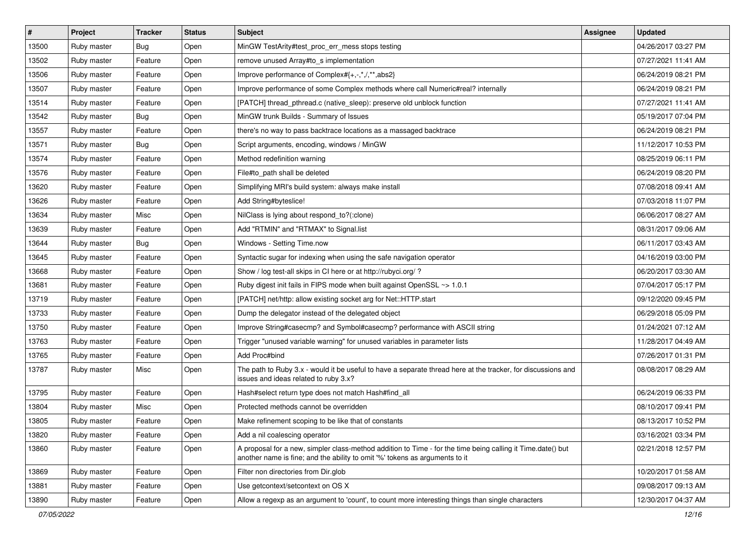| $\vert$ # | Project     | <b>Tracker</b> | <b>Status</b> | <b>Subject</b>                                                                                                                                                                             | Assignee | <b>Updated</b>      |
|-----------|-------------|----------------|---------------|--------------------------------------------------------------------------------------------------------------------------------------------------------------------------------------------|----------|---------------------|
| 13500     | Ruby master | Bug            | Open          | MinGW TestArity#test_proc_err_mess stops testing                                                                                                                                           |          | 04/26/2017 03:27 PM |
| 13502     | Ruby master | Feature        | Open          | remove unused Array#to_s implementation                                                                                                                                                    |          | 07/27/2021 11:41 AM |
| 13506     | Ruby master | Feature        | Open          | Improve performance of Complex#{+,-,*,/,**,abs2}                                                                                                                                           |          | 06/24/2019 08:21 PM |
| 13507     | Ruby master | Feature        | Open          | Improve performance of some Complex methods where call Numeric#real? internally                                                                                                            |          | 06/24/2019 08:21 PM |
| 13514     | Ruby master | Feature        | Open          | [PATCH] thread_pthread.c (native_sleep): preserve old unblock function                                                                                                                     |          | 07/27/2021 11:41 AM |
| 13542     | Ruby master | Bug            | Open          | MinGW trunk Builds - Summary of Issues                                                                                                                                                     |          | 05/19/2017 07:04 PM |
| 13557     | Ruby master | Feature        | Open          | there's no way to pass backtrace locations as a massaged backtrace                                                                                                                         |          | 06/24/2019 08:21 PM |
| 13571     | Ruby master | Bug            | Open          | Script arguments, encoding, windows / MinGW                                                                                                                                                |          | 11/12/2017 10:53 PM |
| 13574     | Ruby master | Feature        | Open          | Method redefinition warning                                                                                                                                                                |          | 08/25/2019 06:11 PM |
| 13576     | Ruby master | Feature        | Open          | File#to_path shall be deleted                                                                                                                                                              |          | 06/24/2019 08:20 PM |
| 13620     | Ruby master | Feature        | Open          | Simplifying MRI's build system: always make install                                                                                                                                        |          | 07/08/2018 09:41 AM |
| 13626     | Ruby master | Feature        | Open          | Add String#byteslice!                                                                                                                                                                      |          | 07/03/2018 11:07 PM |
| 13634     | Ruby master | Misc           | Open          | NilClass is lying about respond_to?(:clone)                                                                                                                                                |          | 06/06/2017 08:27 AM |
| 13639     | Ruby master | Feature        | Open          | Add "RTMIN" and "RTMAX" to Signal.list                                                                                                                                                     |          | 08/31/2017 09:06 AM |
| 13644     | Ruby master | <b>Bug</b>     | Open          | Windows - Setting Time.now                                                                                                                                                                 |          | 06/11/2017 03:43 AM |
| 13645     | Ruby master | Feature        | Open          | Syntactic sugar for indexing when using the safe navigation operator                                                                                                                       |          | 04/16/2019 03:00 PM |
| 13668     | Ruby master | Feature        | Open          | Show / log test-all skips in CI here or at http://rubyci.org/?                                                                                                                             |          | 06/20/2017 03:30 AM |
| 13681     | Ruby master | Feature        | Open          | Ruby digest init fails in FIPS mode when built against OpenSSL ~> 1.0.1                                                                                                                    |          | 07/04/2017 05:17 PM |
| 13719     | Ruby master | Feature        | Open          | [PATCH] net/http: allow existing socket arg for Net::HTTP.start                                                                                                                            |          | 09/12/2020 09:45 PM |
| 13733     | Ruby master | Feature        | Open          | Dump the delegator instead of the delegated object                                                                                                                                         |          | 06/29/2018 05:09 PM |
| 13750     | Ruby master | Feature        | Open          | Improve String#casecmp? and Symbol#casecmp? performance with ASCII string                                                                                                                  |          | 01/24/2021 07:12 AM |
| 13763     | Ruby master | Feature        | Open          | Trigger "unused variable warning" for unused variables in parameter lists                                                                                                                  |          | 11/28/2017 04:49 AM |
| 13765     | Ruby master | Feature        | Open          | Add Proc#bind                                                                                                                                                                              |          | 07/26/2017 01:31 PM |
| 13787     | Ruby master | Misc           | Open          | The path to Ruby 3.x - would it be useful to have a separate thread here at the tracker, for discussions and<br>issues and ideas related to ruby 3.x?                                      |          | 08/08/2017 08:29 AM |
| 13795     | Ruby master | Feature        | Open          | Hash#select return type does not match Hash#find_all                                                                                                                                       |          | 06/24/2019 06:33 PM |
| 13804     | Ruby master | Misc           | Open          | Protected methods cannot be overridden                                                                                                                                                     |          | 08/10/2017 09:41 PM |
| 13805     | Ruby master | Feature        | Open          | Make refinement scoping to be like that of constants                                                                                                                                       |          | 08/13/2017 10:52 PM |
| 13820     | Ruby master | Feature        | Open          | Add a nil coalescing operator                                                                                                                                                              |          | 03/16/2021 03:34 PM |
| 13860     | Ruby master | Feature        | Open          | A proposal for a new, simpler class-method addition to Time - for the time being calling it Time.date() but<br>another name is fine; and the ability to omit '%' tokens as arguments to it |          | 02/21/2018 12:57 PM |
| 13869     | Ruby master | Feature        | Open          | Filter non directories from Dir.glob                                                                                                                                                       |          | 10/20/2017 01:58 AM |
| 13881     | Ruby master | Feature        | Open          | Use getcontext/setcontext on OS X                                                                                                                                                          |          | 09/08/2017 09:13 AM |
| 13890     | Ruby master | Feature        | Open          | Allow a regexp as an argument to 'count', to count more interesting things than single characters                                                                                          |          | 12/30/2017 04:37 AM |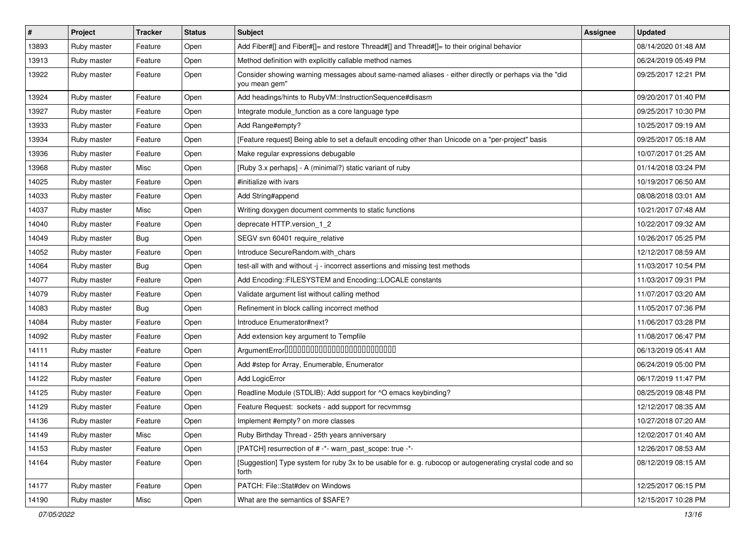| $\vert$ # | Project     | <b>Tracker</b> | <b>Status</b> | Subject                                                                                                               | Assignee | <b>Updated</b>      |
|-----------|-------------|----------------|---------------|-----------------------------------------------------------------------------------------------------------------------|----------|---------------------|
| 13893     | Ruby master | Feature        | Open          | Add Fiber#[] and Fiber#[]= and restore Thread#[] and Thread#[]= to their original behavior                            |          | 08/14/2020 01:48 AM |
| 13913     | Ruby master | Feature        | Open          | Method definition with explicitly callable method names                                                               |          | 06/24/2019 05:49 PM |
| 13922     | Ruby master | Feature        | Open          | Consider showing warning messages about same-named aliases - either directly or perhaps via the "did<br>you mean gem" |          | 09/25/2017 12:21 PM |
| 13924     | Ruby master | Feature        | Open          | Add headings/hints to RubyVM::InstructionSequence#disasm                                                              |          | 09/20/2017 01:40 PM |
| 13927     | Ruby master | Feature        | Open          | Integrate module_function as a core language type                                                                     |          | 09/25/2017 10:30 PM |
| 13933     | Ruby master | Feature        | Open          | Add Range#empty?                                                                                                      |          | 10/25/2017 09:19 AM |
| 13934     | Ruby master | Feature        | Open          | [Feature request] Being able to set a default encoding other than Unicode on a "per-project" basis                    |          | 09/25/2017 05:18 AM |
| 13936     | Ruby master | Feature        | Open          | Make regular expressions debugable                                                                                    |          | 10/07/2017 01:25 AM |
| 13968     | Ruby master | Misc           | Open          | [Ruby 3.x perhaps] - A (minimal?) static variant of ruby                                                              |          | 01/14/2018 03:24 PM |
| 14025     | Ruby master | Feature        | Open          | #initialize with ivars                                                                                                |          | 10/19/2017 06:50 AM |
| 14033     | Ruby master | Feature        | Open          | Add String#append                                                                                                     |          | 08/08/2018 03:01 AM |
| 14037     | Ruby master | Misc           | Open          | Writing doxygen document comments to static functions                                                                 |          | 10/21/2017 07:48 AM |
| 14040     | Ruby master | Feature        | Open          | deprecate HTTP.version 1 2                                                                                            |          | 10/22/2017 09:32 AM |
| 14049     | Ruby master | <b>Bug</b>     | Open          | SEGV svn 60401 require_relative                                                                                       |          | 10/26/2017 05:25 PM |
| 14052     | Ruby master | Feature        | Open          | Introduce SecureRandom.with_chars                                                                                     |          | 12/12/2017 08:59 AM |
| 14064     | Ruby master | <b>Bug</b>     | Open          | test-all with and without -j - incorrect assertions and missing test methods                                          |          | 11/03/2017 10:54 PM |
| 14077     | Ruby master | Feature        | Open          | Add Encoding::FILESYSTEM and Encoding::LOCALE constants                                                               |          | 11/03/2017 09:31 PM |
| 14079     | Ruby master | Feature        | Open          | Validate argument list without calling method                                                                         |          | 11/07/2017 03:20 AM |
| 14083     | Ruby master | Bug            | Open          | Refinement in block calling incorrect method                                                                          |          | 11/05/2017 07:36 PM |
| 14084     | Ruby master | Feature        | Open          | Introduce Enumerator#next?                                                                                            |          | 11/06/2017 03:28 PM |
| 14092     | Ruby master | Feature        | Open          | Add extension key argument to Tempfile                                                                                |          | 11/08/2017 06:47 PM |
| 14111     | Ruby master | Feature        | Open          | ArgumentError00000000000000000000000000                                                                               |          | 06/13/2019 05:41 AM |
| 14114     | Ruby master | Feature        | Open          | Add #step for Array, Enumerable, Enumerator                                                                           |          | 06/24/2019 05:00 PM |
| 14122     | Ruby master | Feature        | Open          | Add LogicError                                                                                                        |          | 06/17/2019 11:47 PM |
| 14125     | Ruby master | Feature        | Open          | Readline Module (STDLIB): Add support for ^O emacs keybinding?                                                        |          | 08/25/2019 08:48 PM |
| 14129     | Ruby master | Feature        | Open          | Feature Request: sockets - add support for recvmmsg                                                                   |          | 12/12/2017 08:35 AM |
| 14136     | Ruby master | Feature        | Open          | Implement #empty? on more classes                                                                                     |          | 10/27/2018 07:20 AM |
| 14149     | Ruby master | Misc           | Open          | Ruby Birthday Thread - 25th years anniversary                                                                         |          | 12/02/2017 01:40 AM |
| 14153     | Ruby master | Feature        | Open          | [PATCH] resurrection of # -*- warn_past_scope: true -*-                                                               |          | 12/26/2017 08:53 AM |
| 14164     | Ruby master | Feature        | Open          | [Suggestion] Type system for ruby 3x to be usable for e. g. rubocop or autogenerating crystal code and so<br>forth    |          | 08/12/2019 08:15 AM |
| 14177     | Ruby master | Feature        | Open          | PATCH: File::Stat#dev on Windows                                                                                      |          | 12/25/2017 06:15 PM |
| 14190     | Ruby master | Misc           | Open          | What are the semantics of \$SAFE?                                                                                     |          | 12/15/2017 10:28 PM |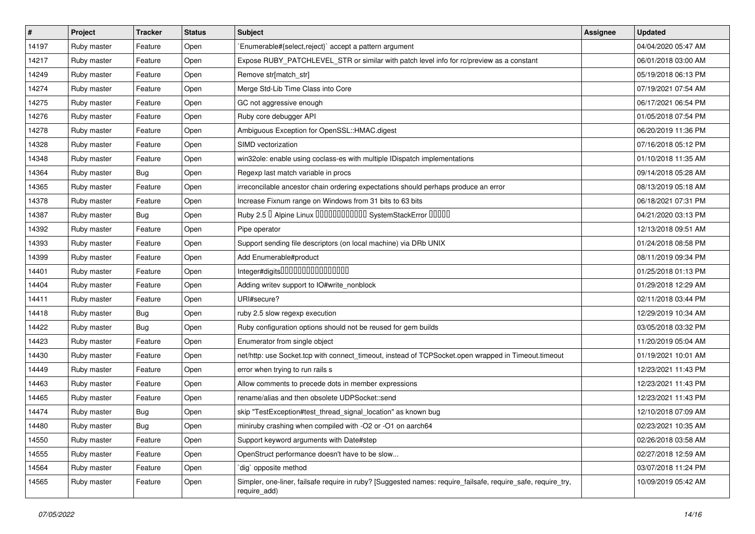| $\vert$ # | Project     | <b>Tracker</b> | <b>Status</b> | Subject                                                                                                                      | <b>Assignee</b> | <b>Updated</b>      |
|-----------|-------------|----------------|---------------|------------------------------------------------------------------------------------------------------------------------------|-----------------|---------------------|
| 14197     | Ruby master | Feature        | Open          | Enumerable#{select,reject}` accept a pattern argument                                                                        |                 | 04/04/2020 05:47 AM |
| 14217     | Ruby master | Feature        | Open          | Expose RUBY_PATCHLEVEL_STR or similar with patch level info for rc/preview as a constant                                     |                 | 06/01/2018 03:00 AM |
| 14249     | Ruby master | Feature        | Open          | Remove str[match_str]                                                                                                        |                 | 05/19/2018 06:13 PM |
| 14274     | Ruby master | Feature        | Open          | Merge Std-Lib Time Class into Core                                                                                           |                 | 07/19/2021 07:54 AM |
| 14275     | Ruby master | Feature        | Open          | GC not aggressive enough                                                                                                     |                 | 06/17/2021 06:54 PM |
| 14276     | Ruby master | Feature        | Open          | Ruby core debugger API                                                                                                       |                 | 01/05/2018 07:54 PM |
| 14278     | Ruby master | Feature        | Open          | Ambiguous Exception for OpenSSL::HMAC.digest                                                                                 |                 | 06/20/2019 11:36 PM |
| 14328     | Ruby master | Feature        | Open          | SIMD vectorization                                                                                                           |                 | 07/16/2018 05:12 PM |
| 14348     | Ruby master | Feature        | Open          | win32ole: enable using coclass-es with multiple IDispatch implementations                                                    |                 | 01/10/2018 11:35 AM |
| 14364     | Ruby master | <b>Bug</b>     | Open          | Regexp last match variable in procs                                                                                          |                 | 09/14/2018 05:28 AM |
| 14365     | Ruby master | Feature        | Open          | irreconcilable ancestor chain ordering expectations should perhaps produce an error                                          |                 | 08/13/2019 05:18 AM |
| 14378     | Ruby master | Feature        | Open          | Increase Fixnum range on Windows from 31 bits to 63 bits                                                                     |                 | 06/18/2021 07:31 PM |
| 14387     | Ruby master | <b>Bug</b>     | Open          | Ruby 2.5 <sup>D</sup> Alpine Linux 000000000000 SystemStackError 00000                                                       |                 | 04/21/2020 03:13 PM |
| 14392     | Ruby master | Feature        | Open          | Pipe operator                                                                                                                |                 | 12/13/2018 09:51 AM |
| 14393     | Ruby master | Feature        | Open          | Support sending file descriptors (on local machine) via DRb UNIX                                                             |                 | 01/24/2018 08:58 PM |
| 14399     | Ruby master | Feature        | Open          | Add Enumerable#product                                                                                                       |                 | 08/11/2019 09:34 PM |
| 14401     | Ruby master | Feature        | Open          | Integer#digits0000000000000000                                                                                               |                 | 01/25/2018 01:13 PM |
| 14404     | Ruby master | Feature        | Open          | Adding writev support to IO#write_nonblock                                                                                   |                 | 01/29/2018 12:29 AM |
| 14411     | Ruby master | Feature        | Open          | URI#secure?                                                                                                                  |                 | 02/11/2018 03:44 PM |
| 14418     | Ruby master | <b>Bug</b>     | Open          | ruby 2.5 slow regexp execution                                                                                               |                 | 12/29/2019 10:34 AM |
| 14422     | Ruby master | Bug            | Open          | Ruby configuration options should not be reused for gem builds                                                               |                 | 03/05/2018 03:32 PM |
| 14423     | Ruby master | Feature        | Open          | Enumerator from single object                                                                                                |                 | 11/20/2019 05:04 AM |
| 14430     | Ruby master | Feature        | Open          | net/http: use Socket.tcp with connect_timeout, instead of TCPSocket.open wrapped in Timeout.timeout                          |                 | 01/19/2021 10:01 AM |
| 14449     | Ruby master | Feature        | Open          | error when trying to run rails s                                                                                             |                 | 12/23/2021 11:43 PM |
| 14463     | Ruby master | Feature        | Open          | Allow comments to precede dots in member expressions                                                                         |                 | 12/23/2021 11:43 PM |
| 14465     | Ruby master | Feature        | Open          | rename/alias and then obsolete UDPSocket::send                                                                               |                 | 12/23/2021 11:43 PM |
| 14474     | Ruby master | <b>Bug</b>     | Open          | skip "TestException#test thread signal location" as known bug                                                                |                 | 12/10/2018 07:09 AM |
| 14480     | Ruby master | <b>Bug</b>     | Open          | miniruby crashing when compiled with -O2 or -O1 on aarch64                                                                   |                 | 02/23/2021 10:35 AM |
| 14550     | Ruby master | Feature        | Open          | Support keyword arguments with Date#step                                                                                     |                 | 02/26/2018 03:58 AM |
| 14555     | Ruby master | Feature        | Open          | OpenStruct performance doesn't have to be slow                                                                               |                 | 02/27/2018 12:59 AM |
| 14564     | Ruby master | Feature        | Open          | dig` opposite method                                                                                                         |                 | 03/07/2018 11:24 PM |
| 14565     | Ruby master | Feature        | Open          | Simpler, one-liner, failsafe require in ruby? [Suggested names: require_failsafe, require_safe, require_try,<br>require_add) |                 | 10/09/2019 05:42 AM |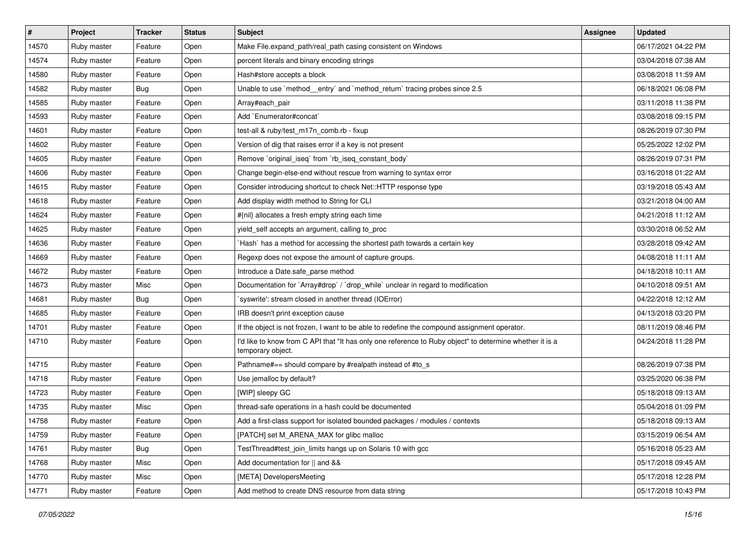| $\sharp$ | Project     | <b>Tracker</b> | <b>Status</b> | <b>Subject</b>                                                                                                                | <b>Assignee</b> | <b>Updated</b>      |
|----------|-------------|----------------|---------------|-------------------------------------------------------------------------------------------------------------------------------|-----------------|---------------------|
| 14570    | Ruby master | Feature        | Open          | Make File.expand_path/real_path casing consistent on Windows                                                                  |                 | 06/17/2021 04:22 PM |
| 14574    | Ruby master | Feature        | Open          | percent literals and binary encoding strings                                                                                  |                 | 03/04/2018 07:38 AM |
| 14580    | Ruby master | Feature        | Open          | Hash#store accepts a block                                                                                                    |                 | 03/08/2018 11:59 AM |
| 14582    | Ruby master | <b>Bug</b>     | Open          | Unable to use `method_entry` and `method_return` tracing probes since 2.5                                                     |                 | 06/18/2021 06:08 PM |
| 14585    | Ruby master | Feature        | Open          | Array#each_pair                                                                                                               |                 | 03/11/2018 11:38 PM |
| 14593    | Ruby master | Feature        | Open          | Add `Enumerator#concat`                                                                                                       |                 | 03/08/2018 09:15 PM |
| 14601    | Ruby master | Feature        | Open          | test-all & ruby/test m17n comb.rb - fixup                                                                                     |                 | 08/26/2019 07:30 PM |
| 14602    | Ruby master | Feature        | Open          | Version of dig that raises error if a key is not present                                                                      |                 | 05/25/2022 12:02 PM |
| 14605    | Ruby master | Feature        | Open          | Remove `original_iseq` from `rb_iseq_constant_body`                                                                           |                 | 08/26/2019 07:31 PM |
| 14606    | Ruby master | Feature        | Open          | Change begin-else-end without rescue from warning to syntax error                                                             |                 | 03/16/2018 01:22 AM |
| 14615    | Ruby master | Feature        | Open          | Consider introducing shortcut to check Net::HTTP response type                                                                |                 | 03/19/2018 05:43 AM |
| 14618    | Ruby master | Feature        | Open          | Add display width method to String for CLI                                                                                    |                 | 03/21/2018 04:00 AM |
| 14624    | Ruby master | Feature        | Open          | #{nil} allocates a fresh empty string each time                                                                               |                 | 04/21/2018 11:12 AM |
| 14625    | Ruby master | Feature        | Open          | yield_self accepts an argument, calling to_proc                                                                               |                 | 03/30/2018 06:52 AM |
| 14636    | Ruby master | Feature        | Open          | `Hash` has a method for accessing the shortest path towards a certain key                                                     |                 | 03/28/2018 09:42 AM |
| 14669    | Ruby master | Feature        | Open          | Regexp does not expose the amount of capture groups.                                                                          |                 | 04/08/2018 11:11 AM |
| 14672    | Ruby master | Feature        | Open          | Introduce a Date.safe parse method                                                                                            |                 | 04/18/2018 10:11 AM |
| 14673    | Ruby master | Misc           | Open          | Documentation for `Array#drop` / `drop_while` unclear in regard to modification                                               |                 | 04/10/2018 09:51 AM |
| 14681    | Ruby master | Bug            | Open          | `syswrite': stream closed in another thread (IOError)                                                                         |                 | 04/22/2018 12:12 AM |
| 14685    | Ruby master | Feature        | Open          | IRB doesn't print exception cause                                                                                             |                 | 04/13/2018 03:20 PM |
| 14701    | Ruby master | Feature        | Open          | If the object is not frozen, I want to be able to redefine the compound assignment operator.                                  |                 | 08/11/2019 08:46 PM |
| 14710    | Ruby master | Feature        | Open          | I'd like to know from C API that "It has only one reference to Ruby object" to determine whether it is a<br>temporary object. |                 | 04/24/2018 11:28 PM |
| 14715    | Ruby master | Feature        | Open          | Pathname#== should compare by #realpath instead of #to_s                                                                      |                 | 08/26/2019 07:38 PM |
| 14718    | Ruby master | Feature        | Open          | Use jemalloc by default?                                                                                                      |                 | 03/25/2020 06:38 PM |
| 14723    | Ruby master | Feature        | Open          | [WIP] sleepy GC                                                                                                               |                 | 05/18/2018 09:13 AM |
| 14735    | Ruby master | Misc           | Open          | thread-safe operations in a hash could be documented                                                                          |                 | 05/04/2018 01:09 PM |
| 14758    | Ruby master | Feature        | Open          | Add a first-class support for isolated bounded packages / modules / contexts                                                  |                 | 05/18/2018 09:13 AM |
| 14759    | Ruby master | Feature        | Open          | [PATCH] set M_ARENA_MAX for glibc malloc                                                                                      |                 | 03/15/2019 06:54 AM |
| 14761    | Ruby master | <b>Bug</b>     | Open          | TestThread#test_join_limits hangs up on Solaris 10 with gcc                                                                   |                 | 05/16/2018 05:23 AM |
| 14768    | Ruby master | Misc           | Open          | Add documentation for    and &&                                                                                               |                 | 05/17/2018 09:45 AM |
| 14770    | Ruby master | Misc           | Open          | [META] DevelopersMeeting                                                                                                      |                 | 05/17/2018 12:28 PM |
| 14771    | Ruby master | Feature        | Open          | Add method to create DNS resource from data string                                                                            |                 | 05/17/2018 10:43 PM |